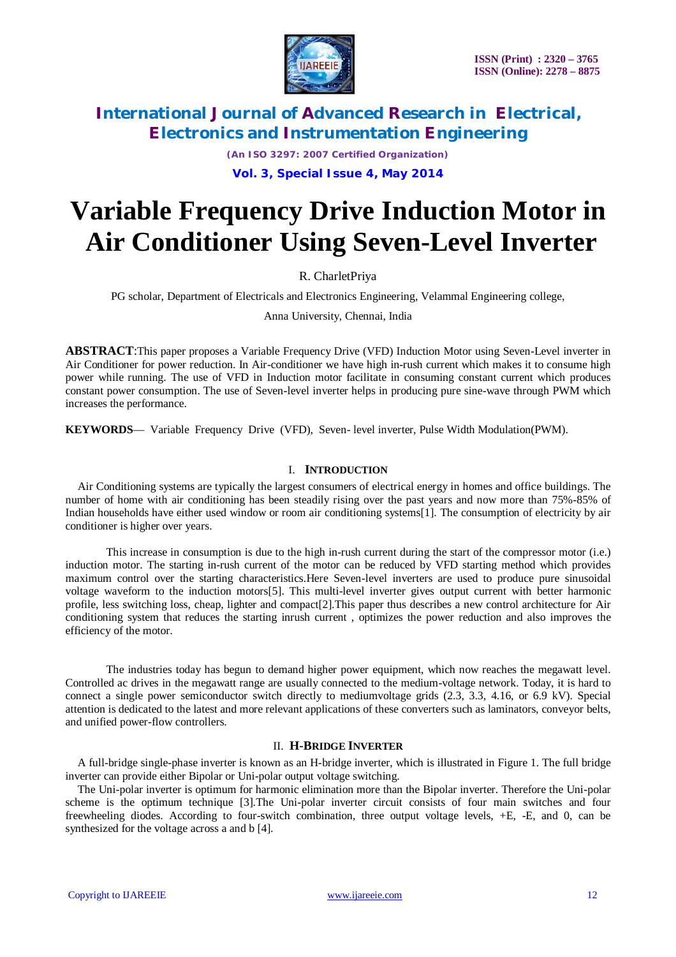

*(An ISO 3297: 2007 Certified Organization)*

**Vol. 3, Special Issue 4, May 2014**

# **Variable Frequency Drive Induction Motor in Air Conditioner Using Seven-Level Inverter**

R. CharletPriya

PG scholar, Department of Electricals and Electronics Engineering, Velammal Engineering college,

Anna University, Chennai, India

**ABSTRACT**:This paper proposes a Variable Frequency Drive (VFD) Induction Motor using Seven-Level inverter in Air Conditioner for power reduction. In Air-conditioner we have high in-rush current which makes it to consume high power while running. The use of VFD in Induction motor facilitate in consuming constant current which produces constant power consumption. The use of Seven-level inverter helps in producing pure sine-wave through PWM which increases the performance.

**KEYWORDS**— Variable Frequency Drive (VFD), Seven- level inverter, Pulse Width Modulation(PWM).

#### I. **INTRODUCTION**

Air Conditioning systems are typically the largest consumers of electrical energy in homes and office buildings. The number of home with air conditioning has been steadily rising over the past years and now more than 75%-85% of Indian households have either used window or room air conditioning systems[1]. The consumption of electricity by air conditioner is higher over years.

This increase in consumption is due to the high in-rush current during the start of the compressor motor (i.e.) induction motor. The starting in-rush current of the motor can be reduced by VFD starting method which provides maximum control over the starting characteristics.Here Seven-level inverters are used to produce pure sinusoidal voltage waveform to the induction motors[5]. This multi-level inverter gives output current with better harmonic profile, less switching loss, cheap, lighter and compact[2].This paper thus describes a new control architecture for Air conditioning system that reduces the starting inrush current , optimizes the power reduction and also improves the efficiency of the motor.

The industries today has begun to demand higher power equipment, which now reaches the megawatt level. Controlled ac drives in the megawatt range are usually connected to the medium-voltage network. Today, it is hard to connect a single power semiconductor switch directly to mediumvoltage grids (2.3, 3.3, 4.16, or 6.9 kV). Special attention is dedicated to the latest and more relevant applications of these converters such as laminators, conveyor belts, and unified power-flow controllers.

#### II. **H-BRIDGE INVERTER**

A full-bridge single-phase inverter is known as an H-bridge inverter, which is illustrated in Figure 1. The full bridge inverter can provide either Bipolar or Uni-polar output voltage switching.

The Uni-polar inverter is optimum for harmonic elimination more than the Bipolar inverter. Therefore the Uni-polar scheme is the optimum technique [3].The Uni-polar inverter circuit consists of four main switches and four freewheeling diodes. According to four-switch combination, three output voltage levels, +E, -E, and 0, can be synthesized for the voltage across a and b [4].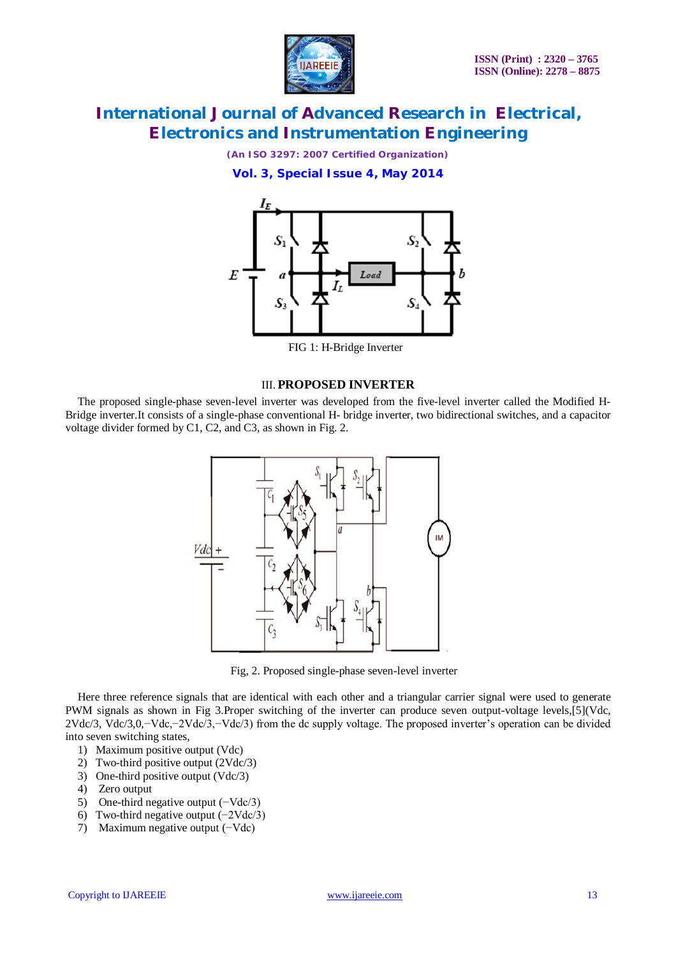

*(An ISO 3297: 2007 Certified Organization)*

**Vol. 3, Special Issue 4, May 2014**



FIG 1: H-Bridge Inverter

#### III. **PROPOSED INVERTER**

The proposed single-phase seven-level inverter was developed from the five-level inverter called the Modified H-Bridge inverter.It consists of a single-phase conventional H- bridge inverter, two bidirectional switches, and a capacitor voltage divider formed by C1, C2, and C3, as shown in Fig. 2.



Fig, 2. Proposed single-phase seven-level inverter

Here three reference signals that are identical with each other and a triangular carrier signal were used to generate PWM signals as shown in Fig 3.Proper switching of the inverter can produce seven output-voltage levels,[5](Vdc, 2Vdc/3, Vdc/3,0,−Vdc,−2Vdc/3,−Vdc/3) from the dc supply voltage. The proposed inverter's operation can be divided into seven switching states,

- 1) Maximum positive output (Vdc)
- 2) Two-third positive output (2Vdc/3)
- 3) One-third positive output (Vdc/3)
- 4) Zero output
- 5) One-third negative output (−Vdc/3)
- 6) Two-third negative output (−2Vdc/3)
- 7) Maximum negative output (−Vdc)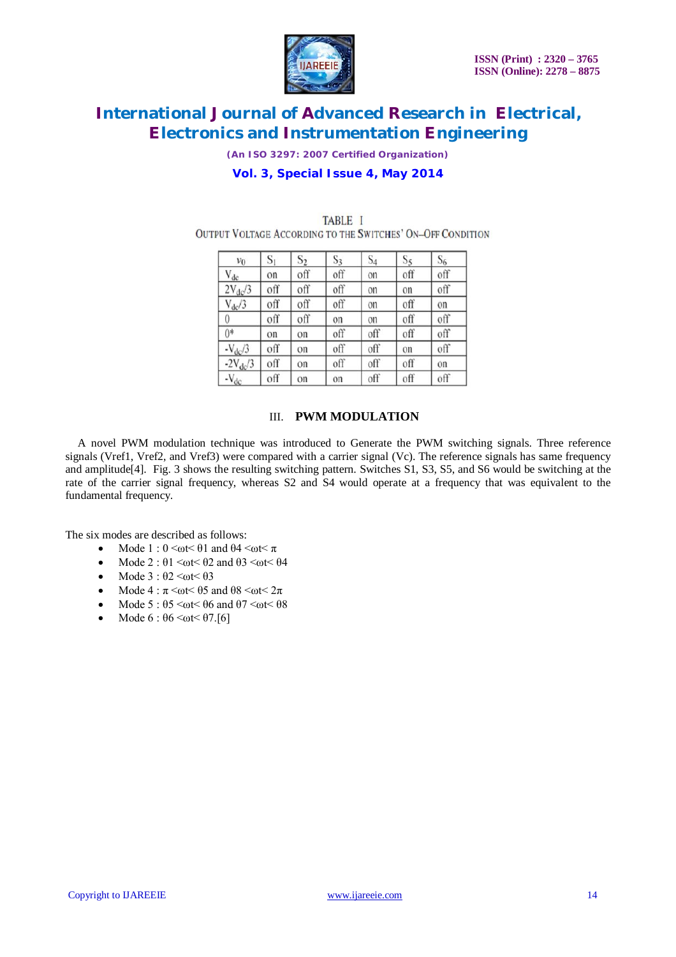

*(An ISO 3297: 2007 Certified Organization)*

### **Vol. 3, Special Issue 4, May 2014**

| $v_0$           | $S_1$ | $S_2$ | $S_3$ | $S_4$ | $S_5$ | $S_6$ |  |
|-----------------|-------|-------|-------|-------|-------|-------|--|
| $V_{dc}$        | on    | off   | off   | on    | off   | off   |  |
| $2V_{dc}/3$     | off   | off   | off   | on    | on    | off   |  |
| $V_{dc}/3$      | off   | off   | off   | on    | off   | on    |  |
| 0               | off   | off   | on    | on    | off   | off   |  |
| $0*$            | on    | on    | off   | off   | off   | off   |  |
| $-V_{\rm dc}/3$ | off   | on    | off   | off   | on    | off   |  |
| $-2V_{dc}/3$    | off   | on    | off   | off   | off   | on    |  |
| $-V_{dc}$       | off   | on    | on    | off   | off   | off   |  |

TABLE I **OUTPUT VOLTAGE ACCORDING TO THE SWITCHES' ON-OFF CONDITION** 

### III. **PWM MODULATION**

A novel PWM modulation technique was introduced to Generate the PWM switching signals. Three reference signals (Vref1, Vref2, and Vref3) were compared with a carrier signal (Vc). The reference signals has same frequency and amplitude[4]. Fig. 3 shows the resulting switching pattern. Switches S1, S3, S5, and S6 would be switching at the rate of the carrier signal frequency, whereas S2 and S4 would operate at a frequency that was equivalent to the fundamental frequency.

The six modes are described as follows:

- Mode 1 :  $0 \leq \omega t \leq 01$  and  $\theta 4 \leq \omega t \leq \pi$
- Mode 2 :  $\theta$ 1 <ωt <  $\theta$ 2 and  $\theta$ 3 <ωt <  $\theta$ 4
- Mode  $3 : \theta$ 2 <ωt < $\theta$ 3
- Mode 4 :  $\pi$  <ωt < 05 and 08 <ωt < 2 $\pi$
- Mode 5 :  $\theta$ 5 <ωt<  $\theta$ 6 and  $\theta$ 7 <ωt<  $\theta$ 8
- Mode  $6 : \theta6 \leq \omega t \leq \theta 7.5$ [6]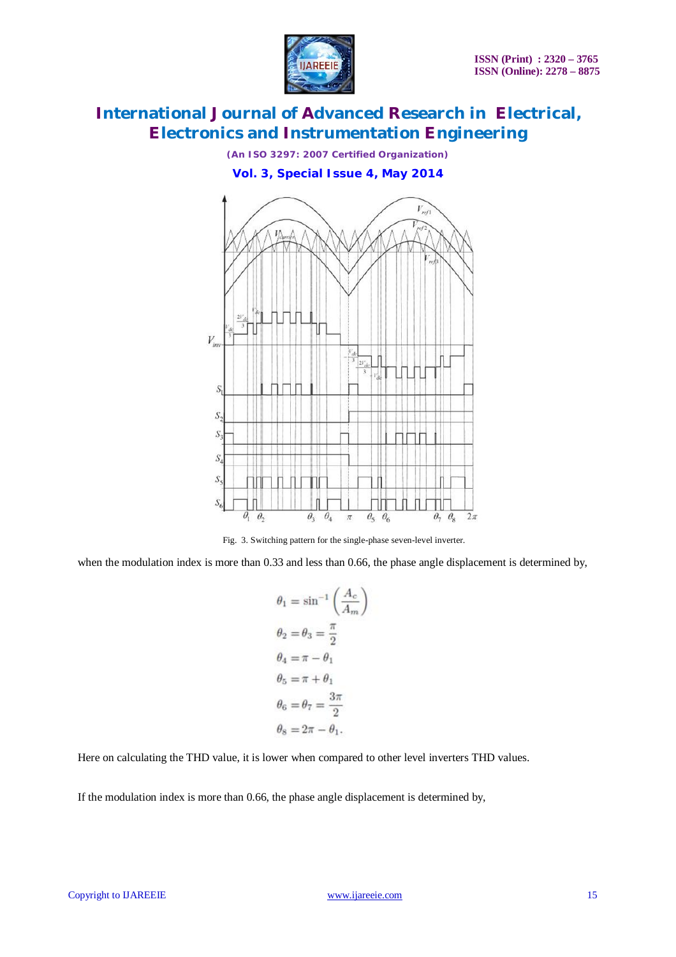

*(An ISO 3297: 2007 Certified Organization)*

**Vol. 3, Special Issue 4, May 2014**



Fig. 3. Switching pattern for the single-phase seven-level inverter.

when the modulation index is more than 0.33 and less than 0.66, the phase angle displacement is determined by,

$$
\theta_1 = \sin^{-1}\left(\frac{A_c}{A_m}\right)
$$
  
\n
$$
\theta_2 = \theta_3 = \frac{\pi}{2}
$$
  
\n
$$
\theta_4 = \pi - \theta_1
$$
  
\n
$$
\theta_5 = \pi + \theta_1
$$
  
\n
$$
\theta_6 = \theta_7 = \frac{3\pi}{2}
$$
  
\n
$$
\theta_8 = 2\pi - \theta_1
$$

Here on calculating the THD value, it is lower when compared to other level inverters THD values.

If the modulation index is more than 0.66, the phase angle displacement is determined by,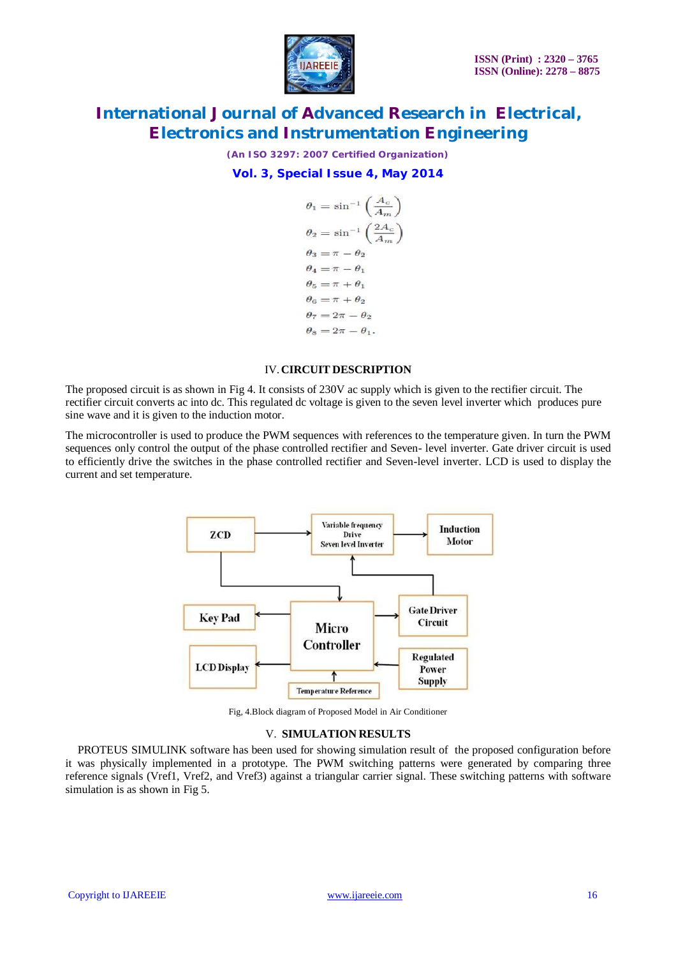

*(An ISO 3297: 2007 Certified Organization)*

**Vol. 3, Special Issue 4, May 2014**

$$
\theta_1 = \sin^{-1}\left(\frac{A_c}{A_m}\right)
$$
  
\n
$$
\theta_2 = \sin^{-1}\left(\frac{2A_c}{A_m}\right)
$$
  
\n
$$
\theta_3 = \pi - \theta_2
$$
  
\n
$$
\theta_4 = \pi - \theta_1
$$
  
\n
$$
\theta_5 = \pi + \theta_1
$$
  
\n
$$
\theta_6 = \pi + \theta_2
$$
  
\n
$$
\theta_7 = 2\pi - \theta_2
$$
  
\n
$$
\theta_8 = 2\pi - \theta_1
$$

#### IV.**CIRCUIT DESCRIPTION**

The proposed circuit is as shown in Fig 4. It consists of 230V ac supply which is given to the rectifier circuit. The rectifier circuit converts ac into dc. This regulated dc voltage is given to the seven level inverter which produces pure sine wave and it is given to the induction motor.

The microcontroller is used to produce the PWM sequences with references to the temperature given. In turn the PWM sequences only control the output of the phase controlled rectifier and Seven- level inverter. Gate driver circuit is used to efficiently drive the switches in the phase controlled rectifier and Seven-level inverter. LCD is used to display the current and set temperature.



Fig, 4.Block diagram of Proposed Model in Air Conditioner

#### V. **SIMULATION RESULTS**

PROTEUS SIMULINK software has been used for showing simulation result of the proposed configuration before it was physically implemented in a prototype. The PWM switching patterns were generated by comparing three reference signals (Vref1, Vref2, and Vref3) against a triangular carrier signal. These switching patterns with software simulation is as shown in Fig 5.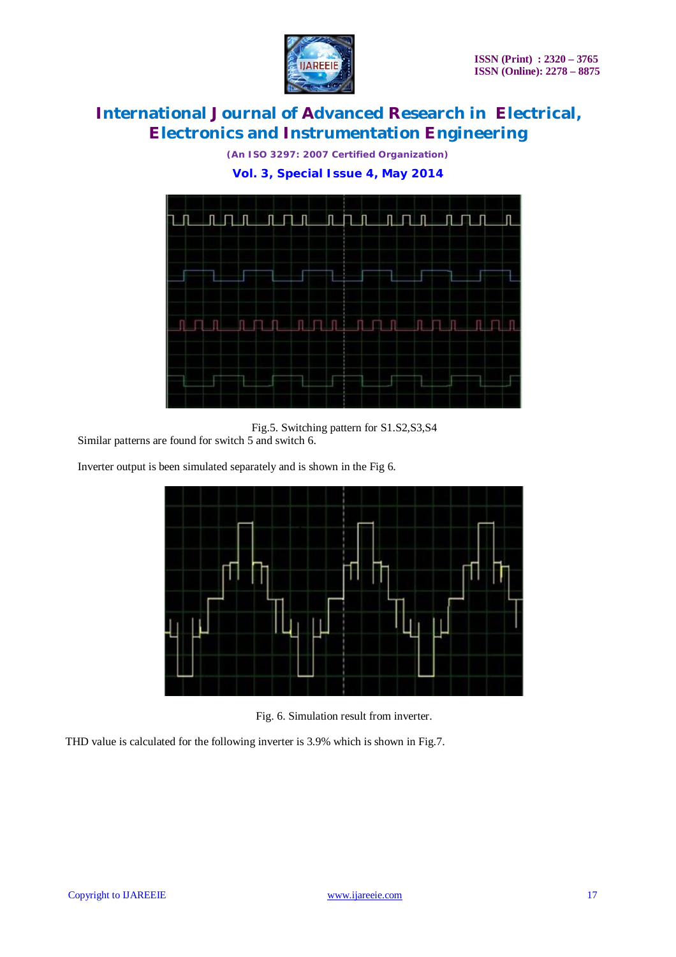

*(An ISO 3297: 2007 Certified Organization)*

**Vol. 3, Special Issue 4, May 2014**



Fig.5. Switching pattern for S1.S2,S3,S4

Similar patterns are found for switch 5 and switch 6.

Inverter output is been simulated separately and is shown in the Fig 6.





THD value is calculated for the following inverter is 3.9% which is shown in Fig.7.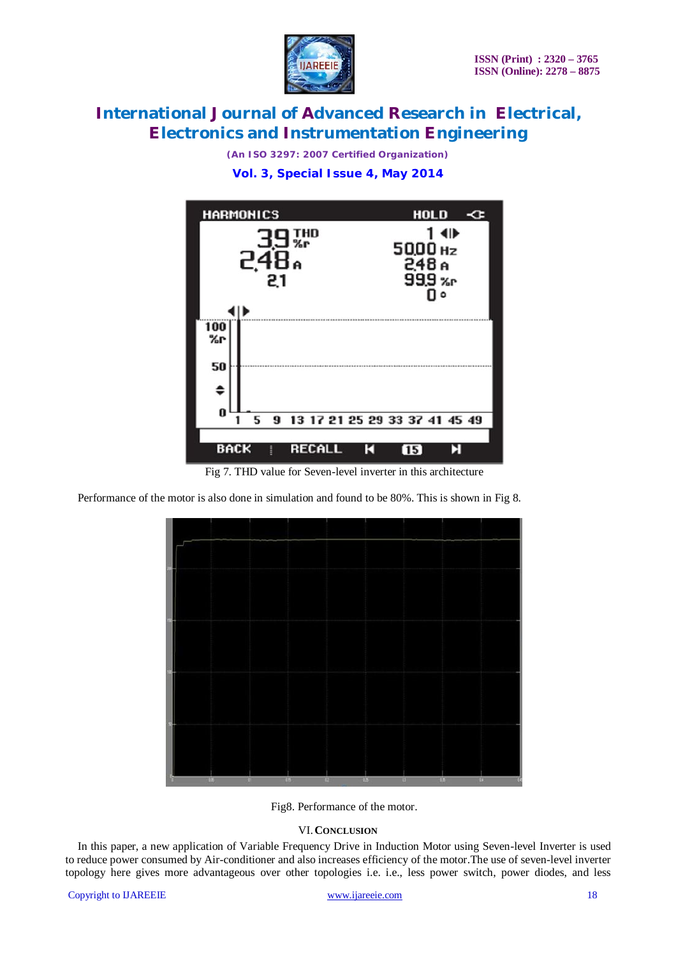

*(An ISO 3297: 2007 Certified Organization)*

**Vol. 3, Special Issue 4, May 2014**



Fig 7. THD value for Seven-level inverter in this architecture

Performance of the motor is also done in simulation and found to be 80%. This is shown in Fig 8.



Fig8. Performance of the motor.

#### VI.**CONCLUSION**

In this paper, a new application of Variable Frequency Drive in Induction Motor using Seven-level Inverter is used to reduce power consumed by Air-conditioner and also increases efficiency of the motor.The use of seven-level inverter topology here gives more advantageous over other topologies i.e. i.e., less power switch, power diodes, and less